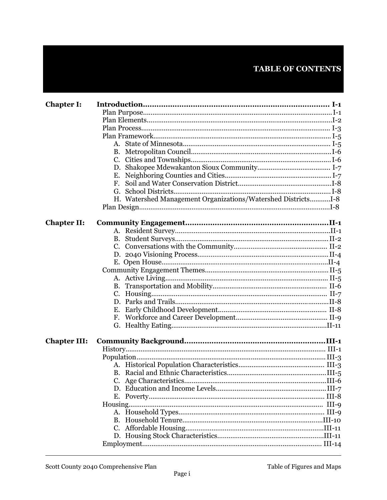# **TABLE OF CONTENTS**

| <b>Chapter I:</b>   |                                                               |  |
|---------------------|---------------------------------------------------------------|--|
|                     |                                                               |  |
|                     |                                                               |  |
|                     |                                                               |  |
|                     |                                                               |  |
|                     |                                                               |  |
|                     |                                                               |  |
|                     |                                                               |  |
|                     |                                                               |  |
|                     | Е.                                                            |  |
|                     |                                                               |  |
|                     |                                                               |  |
|                     | H. Watershed Management Organizations/Watershed Districts I-8 |  |
|                     |                                                               |  |
|                     |                                                               |  |
| <b>Chapter II:</b>  |                                                               |  |
|                     |                                                               |  |
|                     |                                                               |  |
|                     |                                                               |  |
|                     |                                                               |  |
|                     |                                                               |  |
|                     |                                                               |  |
|                     |                                                               |  |
|                     | В.                                                            |  |
|                     |                                                               |  |
|                     |                                                               |  |
|                     | Е.                                                            |  |
|                     | F.                                                            |  |
|                     |                                                               |  |
| <b>Chapter III:</b> |                                                               |  |
|                     |                                                               |  |
|                     |                                                               |  |
|                     |                                                               |  |
|                     |                                                               |  |
|                     |                                                               |  |
|                     |                                                               |  |
|                     |                                                               |  |
|                     |                                                               |  |
|                     |                                                               |  |
|                     |                                                               |  |
|                     |                                                               |  |
|                     |                                                               |  |
|                     |                                                               |  |
|                     |                                                               |  |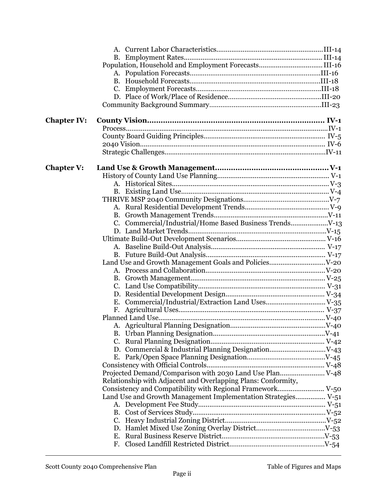| <b>Chapter IV:</b> |                                                               |  |
|--------------------|---------------------------------------------------------------|--|
|                    |                                                               |  |
|                    |                                                               |  |
|                    |                                                               |  |
|                    |                                                               |  |
| <b>Chapter V:</b>  |                                                               |  |
|                    |                                                               |  |
|                    |                                                               |  |
|                    |                                                               |  |
|                    |                                                               |  |
|                    |                                                               |  |
|                    |                                                               |  |
|                    |                                                               |  |
|                    |                                                               |  |
|                    |                                                               |  |
|                    |                                                               |  |
|                    |                                                               |  |
|                    |                                                               |  |
|                    |                                                               |  |
|                    |                                                               |  |
|                    |                                                               |  |
|                    |                                                               |  |
|                    |                                                               |  |
|                    |                                                               |  |
|                    |                                                               |  |
|                    |                                                               |  |
|                    |                                                               |  |
|                    |                                                               |  |
|                    | D. Commercial & Industrial Planning Designation V-43          |  |
|                    |                                                               |  |
|                    |                                                               |  |
|                    | Projected Demand/Comparison with 2030 Land Use Plan V-48      |  |
|                    | Relationship with Adjacent and Overlapping Plans: Conformity, |  |
|                    | Consistency and Compatibility with Regional Framework V-50    |  |
|                    | Land Use and Growth Management Implementation Strategies V-51 |  |
|                    |                                                               |  |
|                    |                                                               |  |
|                    |                                                               |  |
|                    | Е.                                                            |  |
|                    | F.                                                            |  |
|                    |                                                               |  |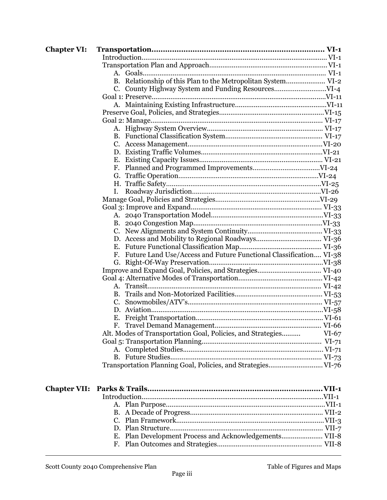| <b>Chapter VI:</b>  |                                                                   |         |
|---------------------|-------------------------------------------------------------------|---------|
|                     |                                                                   |         |
|                     |                                                                   |         |
|                     |                                                                   |         |
|                     | B. Relationship of this Plan to the Metropolitan System VI-2      |         |
|                     |                                                                   |         |
|                     |                                                                   |         |
|                     |                                                                   |         |
|                     |                                                                   |         |
|                     |                                                                   |         |
|                     |                                                                   |         |
|                     |                                                                   |         |
|                     |                                                                   |         |
|                     |                                                                   |         |
|                     |                                                                   |         |
|                     |                                                                   |         |
|                     |                                                                   |         |
|                     |                                                                   |         |
|                     | L.                                                                |         |
|                     |                                                                   |         |
|                     |                                                                   |         |
|                     |                                                                   |         |
|                     |                                                                   |         |
|                     |                                                                   |         |
|                     |                                                                   |         |
|                     |                                                                   |         |
|                     | Future Land Use/Access and Future Functional Classification VI-38 |         |
|                     |                                                                   |         |
|                     |                                                                   |         |
|                     |                                                                   |         |
|                     |                                                                   |         |
|                     |                                                                   |         |
|                     |                                                                   |         |
|                     |                                                                   |         |
|                     |                                                                   |         |
|                     | F.                                                                |         |
|                     | Alt. Modes of Transportation Goal, Policies, and Strategies       | $VI-67$ |
|                     |                                                                   |         |
|                     |                                                                   |         |
|                     |                                                                   |         |
|                     | Transportation Planning Goal, Policies, and Strategies VI-76      |         |
| <b>Chapter VII:</b> |                                                                   |         |
|                     |                                                                   |         |
|                     |                                                                   |         |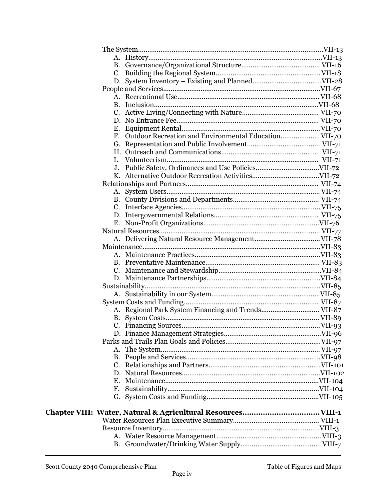| Е. |  |
|----|--|
| F. |  |
|    |  |
|    |  |
| L. |  |
|    |  |
|    |  |
|    |  |
|    |  |
|    |  |
|    |  |
|    |  |
|    |  |
|    |  |
|    |  |
|    |  |
|    |  |
|    |  |
|    |  |
|    |  |
|    |  |
|    |  |
|    |  |
|    |  |
|    |  |
|    |  |
|    |  |
|    |  |
|    |  |
|    |  |
|    |  |
|    |  |
|    |  |
|    |  |
|    |  |
|    |  |
|    |  |
|    |  |
|    |  |
|    |  |
|    |  |
|    |  |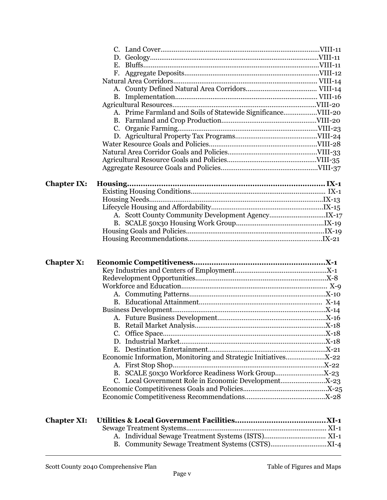| <b>Chapter IX:</b> | Housing |  |
|--------------------|---------|--|
|                    |         |  |
|                    |         |  |
|                    |         |  |
|                    |         |  |
|                    |         |  |
|                    |         |  |
|                    |         |  |
| <b>Chapter X:</b>  |         |  |
|                    |         |  |
|                    |         |  |
|                    |         |  |
|                    |         |  |
|                    |         |  |
|                    |         |  |
|                    |         |  |
|                    |         |  |
|                    |         |  |
|                    |         |  |
|                    |         |  |
|                    |         |  |
|                    |         |  |
|                    |         |  |
|                    |         |  |
|                    |         |  |
|                    |         |  |
|                    |         |  |
| <b>Chapter XI:</b> |         |  |
|                    |         |  |
|                    |         |  |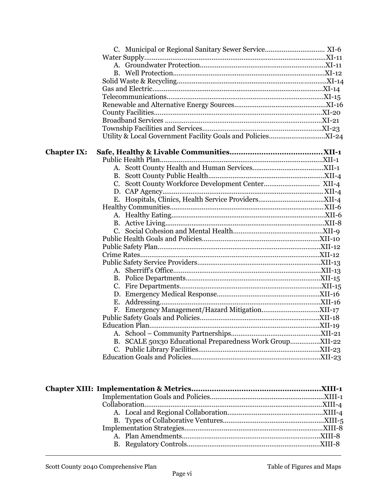|                    | C. Municipal or Regional Sanitary Sewer Service XI-6     |  |
|--------------------|----------------------------------------------------------|--|
|                    |                                                          |  |
|                    |                                                          |  |
|                    |                                                          |  |
|                    |                                                          |  |
|                    |                                                          |  |
|                    |                                                          |  |
|                    |                                                          |  |
|                    |                                                          |  |
|                    |                                                          |  |
|                    |                                                          |  |
|                    |                                                          |  |
| <b>Chapter IX:</b> |                                                          |  |
|                    |                                                          |  |
|                    |                                                          |  |
|                    |                                                          |  |
|                    |                                                          |  |
|                    |                                                          |  |
|                    |                                                          |  |
|                    |                                                          |  |
|                    |                                                          |  |
|                    |                                                          |  |
|                    |                                                          |  |
|                    |                                                          |  |
|                    |                                                          |  |
|                    |                                                          |  |
|                    |                                                          |  |
|                    |                                                          |  |
|                    |                                                          |  |
|                    |                                                          |  |
|                    |                                                          |  |
|                    |                                                          |  |
|                    |                                                          |  |
|                    |                                                          |  |
|                    |                                                          |  |
|                    |                                                          |  |
|                    | B. SCALE 50x30 Educational Preparedness Work GroupXII-22 |  |
|                    |                                                          |  |
|                    |                                                          |  |
|                    |                                                          |  |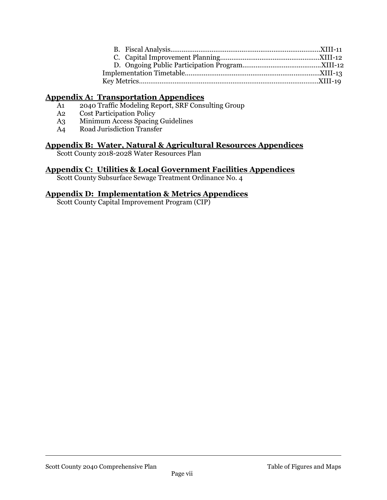### **Appendix A: Transportation Appendices**

- A1 2040 Traffic Modeling Report, SRF Consulting Group
- A2 Cost Participation Policy
- A3 Minimum Access Spacing Guidelines
- A4 Road Jurisdiction Transfer

#### **Appendix B: Water, Natural & Agricultural Resources Appendices**

Scott County 2018-2028 Water Resources Plan

#### **Appendix C: Utilities & Local Government Facilities Appendices**

Scott County Subsurface Sewage Treatment Ordinance No. 4

#### **Appendix D: Implementation & Metrics Appendices**

Scott County Capital Improvement Program (CIP)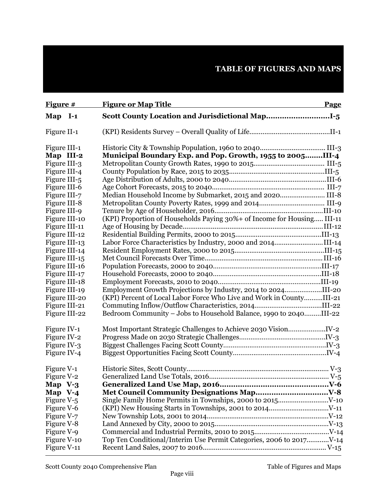## **TABLE OF FIGURES AND MAPS**

| Figure #      |               | <b>Figure or Map Title</b>                                              | <b>Page</b> |
|---------------|---------------|-------------------------------------------------------------------------|-------------|
| Map I-1       |               |                                                                         |             |
| Figure II-1   |               |                                                                         |             |
| Figure III-1  |               |                                                                         |             |
| Map III-2     |               | Municipal Boundary Exp. and Pop. Growth, 1955 to 2005III-4              |             |
| Figure III-3  |               |                                                                         |             |
| Figure III-4  |               |                                                                         |             |
| Figure III-5  |               |                                                                         |             |
| Figure III-6  |               |                                                                         |             |
| Figure III-7  |               | Median Household Income by Submarket, 2015 and 2020 III-8               |             |
| Figure III-8  |               |                                                                         |             |
| Figure III-9  |               |                                                                         |             |
| Figure III-10 |               | (KPI) Proportion of Households Paying 30%+ of Income for Housing III-11 |             |
| Figure III-11 |               |                                                                         |             |
| Figure III-12 |               |                                                                         |             |
| Figure III-13 |               | Labor Force Characteristics by Industry, 2000 and 2014III-14            |             |
| Figure III-14 |               |                                                                         |             |
| Figure III-15 |               |                                                                         |             |
| Figure III-16 |               |                                                                         |             |
| Figure III-17 |               |                                                                         |             |
| Figure III-18 |               |                                                                         |             |
| Figure III-19 |               | Employment Growth Projections by Industry, 2014 to 2024III-20           |             |
|               | Figure III-20 | (KPI) Percent of Local Labor Force Who Live and Work in CountyIII-21    |             |
| Figure III-21 |               | Commuting Inflow/Outflow Characteristics, 2014III-22                    |             |
|               | Figure III-22 | Bedroom Community - Jobs to Household Balance, 1990 to 2040III-22       |             |
| Figure IV-1   |               |                                                                         |             |
| Figure IV-2   |               |                                                                         |             |
| Figure IV-3   |               |                                                                         |             |
| Figure IV-4   |               |                                                                         |             |
| Figure V-1    |               |                                                                         |             |
| Figure V-2    |               |                                                                         |             |
| Map $V-3$     |               |                                                                         |             |
| Map $V-4$     |               |                                                                         |             |
| Figure V-5    |               |                                                                         |             |
| Figure V-6    |               |                                                                         |             |
| Figure V-7    |               |                                                                         |             |
| Figure V-8    |               |                                                                         |             |
| Figure V-9    |               |                                                                         |             |
| Figure V-10   |               | Top Ten Conditional/Interim Use Permit Categories, 2006 to 2017V-14     |             |
| Figure V-11   |               |                                                                         |             |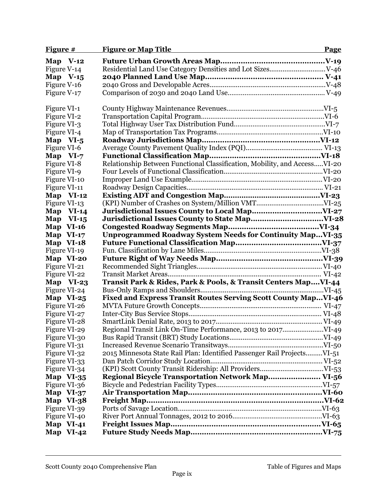| Figure $#$   | <u>Figure or Map Title</u>                                                | <b>Page</b> |
|--------------|---------------------------------------------------------------------------|-------------|
| Map $V-12$   |                                                                           |             |
| Figure V-14  |                                                                           |             |
| Map $V-15$   |                                                                           |             |
| Figure V-16  |                                                                           |             |
| Figure V-17  |                                                                           |             |
|              |                                                                           |             |
| Figure VI-1  |                                                                           |             |
| Figure VI-2  |                                                                           |             |
| Figure VI-3  |                                                                           |             |
| Figure VI-4  |                                                                           |             |
| Map VI-5     |                                                                           |             |
| Figure VI-6  |                                                                           |             |
| Map VI-7     |                                                                           |             |
| Figure VI-8  | Relationship Between Functional Classification, Mobility, and AccessVI-20 |             |
| Figure VI-9  |                                                                           |             |
| Figure VI-10 |                                                                           |             |
| Figure VI-11 |                                                                           |             |
| Map VI-12    |                                                                           |             |
| Figure VI-13 |                                                                           |             |
| Map $VI-14$  |                                                                           |             |
| Map $VI-15$  |                                                                           |             |
| Map VI-16    |                                                                           |             |
| Map $VI-17$  | <b>Unprogrammed Roadway System Needs for Continuity MapVI-35</b>          |             |
| Map VI-18    |                                                                           |             |
| Figure VI-19 |                                                                           |             |
| Map VI-20    |                                                                           |             |
| Figure VI-21 |                                                                           |             |
| Figure VI-22 |                                                                           |             |
| Map VI-23    | Transit Park & Rides, Park & Pools, & Transit Centers MapVI-44            |             |
| Figure VI-24 |                                                                           |             |
| Map VI-25    | Fixed and Express Transit Routes Serving Scott County MapVI-46            |             |
| Figure VI-26 |                                                                           |             |
| Figure VI-27 |                                                                           |             |
| Figure VI-28 |                                                                           |             |
| Figure VI-29 | Regional Transit Link On-Time Performance, 2013 to 2017VI-49              |             |
| Figure VI-30 |                                                                           |             |
| Figure VI-31 |                                                                           |             |
| Figure VI-32 | 2015 Minnesota State Rail Plan: Identified Passenger Rail ProjectsVI-51   |             |
| Figure VI-33 |                                                                           |             |
| Figure VI-34 |                                                                           |             |
| Map VI-35    | Regional Bicycle Transportation Network Map VI-56                         |             |
| Figure VI-36 |                                                                           |             |
| Map $VI-37$  |                                                                           |             |
| Map VI-38    | <b>Freight Map.</b>                                                       |             |
| Figure VI-39 |                                                                           |             |
| Figure VI-40 |                                                                           |             |
| Map VI-41    |                                                                           |             |
| Map VI-42    |                                                                           |             |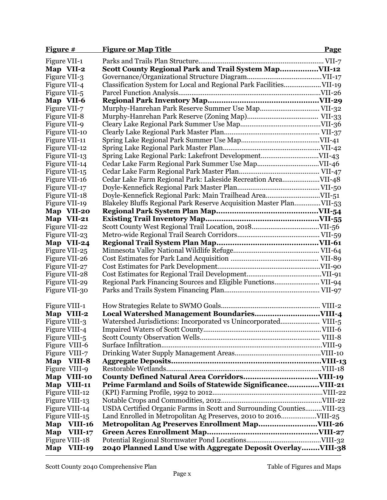| Figure $#$                     | <b>Figure or Map Title</b>                                            | Page |
|--------------------------------|-----------------------------------------------------------------------|------|
| Figure VII-1                   |                                                                       |      |
| Map VII-2                      | Scott County Regional Park and Trail System MapVII-12                 |      |
| Figure VII-3                   |                                                                       |      |
| Figure VII-4                   | Classification System for Local and Regional Park FacilitiesVII-19    |      |
| Figure VII-5                   |                                                                       |      |
| Map VII-6                      |                                                                       |      |
| Figure VII-7                   |                                                                       |      |
| Figure VII-8                   |                                                                       |      |
| Figure VII-9                   |                                                                       |      |
| Figure VII-10                  |                                                                       |      |
| Figure VII-11                  |                                                                       |      |
| Figure VII-12                  |                                                                       |      |
| Figure VII-13                  | Spring Lake Regional Park: Lakefront DevelopmentVII-43                |      |
| Figure VII-14                  |                                                                       |      |
| Figure VII-15                  |                                                                       |      |
| Figure VII-16                  |                                                                       |      |
| Figure VII-17                  |                                                                       |      |
| Figure VII-18                  |                                                                       |      |
| Figure VII-19                  | Blakeley Bluffs Regional Park Reserve Acquisition Master PlanVII-53   |      |
| Map VII-20                     |                                                                       |      |
| Map VII-21                     |                                                                       |      |
| Figure VII-22                  |                                                                       |      |
| Figure VII-23                  |                                                                       |      |
| Map VII-24                     |                                                                       |      |
| Figure VII-25                  |                                                                       |      |
| Figure VII-26                  |                                                                       |      |
| Figure VII-27<br>Figure VII-28 |                                                                       |      |
| Figure VII-29                  | Regional Park Financing Sources and Eligible Functions VII-94         |      |
| Figure VII-30                  |                                                                       |      |
|                                |                                                                       |      |
| Figure VIII-1                  |                                                                       |      |
| Map VIII-2                     |                                                                       |      |
| Figure VIII-3                  | Watershed Jurisdictions: Incorporated vs Unincorporated VIII-5        |      |
| Figure VIII-4                  |                                                                       |      |
| Figure VIII-5                  |                                                                       |      |
| Figure VIII-6                  |                                                                       |      |
| Figure VIII-7                  |                                                                       |      |
| Map VIII-8                     |                                                                       |      |
| Figure VIII-9                  |                                                                       |      |
| Map VIII-10                    |                                                                       |      |
| Map VIII-11                    | Prime Farmland and Soils of Statewide SignificanceVIII-21             |      |
| Figure VIII-12                 |                                                                       |      |
| Figure VIII-13                 |                                                                       |      |
| Figure VIII-14                 | USDA Certified Organic Farms in Scott and Surrounding CountiesVIII-23 |      |
| Figure VIII-15                 | Land Enrolled in Metropolitan Ag Preserves, 2010 to 2016VIII-25       |      |
| Map VIII-16                    | Metropolitan Ag Preserves Enrollment MapVIII-26                       |      |
| Map VIII-17                    |                                                                       |      |
| Figure VIII-18                 |                                                                       |      |
| Map VIII-19                    | 2040 Planned Land Use with Aggregate Deposit OverlayVIII-38           |      |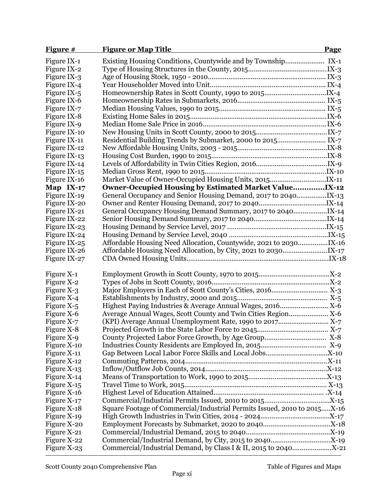| Figure #                 | <b>Figure or Map Title</b>                                               | <b>Page</b> |
|--------------------------|--------------------------------------------------------------------------|-------------|
| Figure IX-1              |                                                                          |             |
| Figure IX-2              |                                                                          |             |
| Figure IX-3              |                                                                          |             |
| Figure IX-4              |                                                                          |             |
| Figure IX-5              |                                                                          |             |
| Figure IX-6              |                                                                          |             |
| Figure IX-7              |                                                                          |             |
| Figure IX-8              |                                                                          |             |
| Figure IX-9              |                                                                          |             |
| Figure IX-10             |                                                                          |             |
| Figure IX-11             |                                                                          |             |
| Figure IX-12             |                                                                          |             |
| Figure IX-13             |                                                                          |             |
| Figure IX-14             |                                                                          |             |
| Figure IX-15             |                                                                          |             |
| Figure IX-16             |                                                                          |             |
| Map $IX-17$              | <b>Owner-Occupied Housing by Estimated Market ValueIX-12</b>             |             |
| Figure IX-19             | General Occupancy and Senior Housing Demand, 2017 to 2040IX-13           |             |
| Figure IX-20             |                                                                          |             |
| Figure IX-21             | General Occupancy Housing Demand Summary, 2017 to 2040IX-14              |             |
| Figure IX-22             |                                                                          |             |
| Figure IX-23             |                                                                          |             |
| Figure IX-24             |                                                                          |             |
| Figure IX-25             | Affordable Housing Need Allocation, Countywide, 2021 to 2030IX-16        |             |
| Figure IX-26             |                                                                          |             |
| Figure IX-27             |                                                                          |             |
| Figure X-1               |                                                                          |             |
| Figure X-2               |                                                                          |             |
| Figure X-3               |                                                                          |             |
| Figure X-4               |                                                                          |             |
|                          |                                                                          |             |
| Figure X-5               | Average Annual Wages, Scott County and Twin Cities Region X-6            |             |
| Figure X-6<br>Figure X-7 |                                                                          |             |
| Figure X-8               |                                                                          |             |
| Figure X-9               |                                                                          |             |
| Figure X-10              |                                                                          |             |
| Figure X-11              |                                                                          |             |
| Figure X-12              |                                                                          |             |
| Figure X-13              |                                                                          |             |
| Figure X-14              |                                                                          |             |
| Figure X-15              |                                                                          |             |
| Figure X-16              |                                                                          |             |
|                          |                                                                          |             |
| Figure X-17              |                                                                          |             |
| Figure X-18              | Square Footage of Commercial/Industrial Permits Issued, 2010 to 2015X-16 |             |
| Figure X-19              |                                                                          |             |
| Figure X-20              |                                                                          |             |
| Figure X-21              |                                                                          |             |
| Figure X-22              |                                                                          |             |
| Figure X-23              |                                                                          |             |